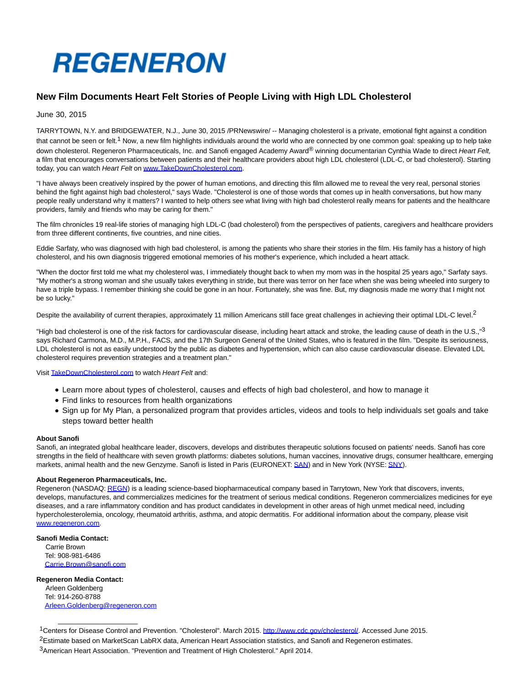

## **New Film Documents Heart Felt Stories of People Living with High LDL Cholesterol**

June 30, 2015

TARRYTOWN, N.Y. and BRIDGEWATER, N.J., June 30, 2015 /PRNewswire/ -- Managing cholesterol is a private, emotional fight against a condition that cannot be seen or felt.<sup>1</sup> Now, a new film highlights individuals around the world who are connected by one common goal: speaking up to help take down cholesterol. Regeneron Pharmaceuticals, Inc. and Sanofi engaged Academy Award<sup>®</sup> winning documentarian Cynthia Wade to direct Heart Felt, a film that encourages conversations between patients and their healthcare providers about high LDL cholesterol (LDL-C, or bad cholesterol). Starting today, you can watch Heart Felt on [www.TakeDownCholesterol.com.](http://www.takedowncholesterol.com/)

"I have always been creatively inspired by the power of human emotions, and directing this film allowed me to reveal the very real, personal stories behind the fight against high bad cholesterol," says Wade. "Cholesterol is one of those words that comes up in health conversations, but how many people really understand why it matters? I wanted to help others see what living with high bad cholesterol really means for patients and the healthcare providers, family and friends who may be caring for them."

The film chronicles 19 real-life stories of managing high LDL-C (bad cholesterol) from the perspectives of patients, caregivers and healthcare providers from three different continents, five countries, and nine cities.

Eddie Sarfaty, who was diagnosed with high bad cholesterol, is among the patients who share their stories in the film. His family has a history of high cholesterol, and his own diagnosis triggered emotional memories of his mother's experience, which included a heart attack.

"When the doctor first told me what my cholesterol was, I immediately thought back to when my mom was in the hospital 25 years ago," Sarfaty says. "My mother's a strong woman and she usually takes everything in stride, but there was terror on her face when she was being wheeled into surgery to have a triple bypass. I remember thinking she could be gone in an hour. Fortunately, she was fine. But, my diagnosis made me worry that I might not be so lucky."

Despite the availability of current therapies, approximately 11 million Americans still face great challenges in achieving their optimal LDL-C level.<sup>2</sup>

"High bad cholesterol is one of the risk factors for cardiovascular disease, including heart attack and stroke, the leading cause of death in the U.S.,"<sup>3</sup> says Richard Carmona, M.D., M.P.H., FACS, and the 17th Surgeon General of the United States, who is featured in the film. "Despite its seriousness, LDL cholesterol is not as easily understood by the public as diabetes and hypertension, which can also cause cardiovascular disease. Elevated LDL cholesterol requires prevention strategies and a treatment plan."

Visit [TakeDownCholesterol.com t](http://takedowncholesterol.com/)o watch Heart Felt and:

- Learn more about types of cholesterol, causes and effects of high bad cholesterol, and how to manage it
- Find links to resources from health organizations
- Sign up for My Plan, a personalized program that provides articles, videos and tools to help individuals set goals and take steps toward better health

## **About Sanofi**

Sanofi, an integrated global healthcare leader, discovers, develops and distributes therapeutic solutions focused on patients' needs. Sanofi has core strengths in the field of healthcare with seven growth platforms: diabetes solutions, human vaccines, innovative drugs, consumer healthcare, emerging markets, animal health and the new Genzyme. Sanofi is listed in Paris (EURONEXT: [SAN\)](http://en.sanofi.com/investors/share/stock_chart/stock_chart.aspx) and in New York (NYSE: [SNY\).](http://en.sanofi.com/investors/share/stock_chart/stock_chart.aspx)

## **About Regeneron Pharmaceuticals, Inc.**

Regeneron (NASDAQ[: REGN\)](http://investor.regeneron.com/stockquote.cfm) is a leading science-based biopharmaceutical company based in Tarrytown, New York that discovers, invents, develops, manufactures, and commercializes medicines for the treatment of serious medical conditions. Regeneron commercializes medicines for eye diseases, and a rare inflammatory condition and has product candidates in development in other areas of high unmet medical need, including hypercholesterolemia, oncology, rheumatoid arthritis, asthma, and atopic dermatitis. For additional information about the company, please visit [www.regeneron.com.](http://www.regeneron.com/)

## **Sanofi Media Contact:**

 Carrie Brown Tel: 908-981-6486 [Carrie.Brown@sanofi.com](mailto:Carrie.Brown@sanofi.com)

**Regeneron Media Contact:** Arleen Goldenberg Tel: 914-260-8788 [Arleen.Goldenberg@regeneron.com](mailto:Arleen.Goldenberg@regeneron.com)

\_\_\_\_\_\_\_\_\_\_\_\_\_\_\_\_\_\_\_\_\_

<sup>1</sup>Centers for Disease Control and Prevention. "Cholesterol". March 2015[. http://www.cdc.gov/cholesterol/.](http://www.cdc.gov/cholesterol/) Accessed June 2015.

<sup>&</sup>lt;sup>2</sup>Estimate based on MarketScan LabRX data, American Heart Association statistics, and Sanofi and Regeneron estimates.

<sup>3</sup>American Heart Association. "Prevention and Treatment of High Cholesterol." April 2014.